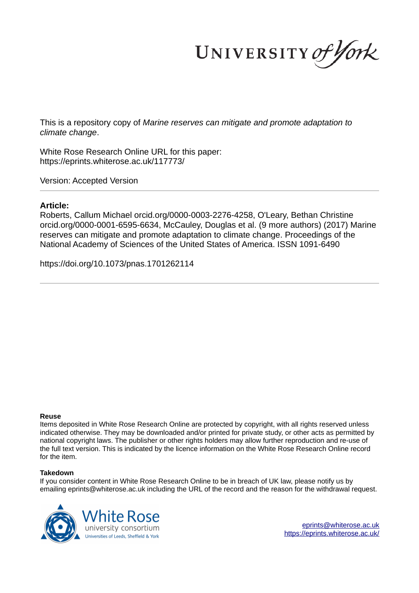UNIVERSITY of York

This is a repository copy of *Marine reserves can mitigate and promote adaptation to climate change*.

White Rose Research Online URL for this paper: https://eprints.whiterose.ac.uk/117773/

Version: Accepted Version

# **Article:**

Roberts, Callum Michael orcid.org/0000-0003-2276-4258, O'Leary, Bethan Christine orcid.org/0000-0001-6595-6634, McCauley, Douglas et al. (9 more authors) (2017) Marine reserves can mitigate and promote adaptation to climate change. Proceedings of the National Academy of Sciences of the United States of America. ISSN 1091-6490

https://doi.org/10.1073/pnas.1701262114

#### **Reuse**

Items deposited in White Rose Research Online are protected by copyright, with all rights reserved unless indicated otherwise. They may be downloaded and/or printed for private study, or other acts as permitted by national copyright laws. The publisher or other rights holders may allow further reproduction and re-use of the full text version. This is indicated by the licence information on the White Rose Research Online record for the item.

## **Takedown**

If you consider content in White Rose Research Online to be in breach of UK law, please notify us by emailing eprints@whiterose.ac.uk including the URL of the record and the reason for the withdrawal request.



eprints@whiterose.ac.uk https://eprints.whiterose.ac.uk/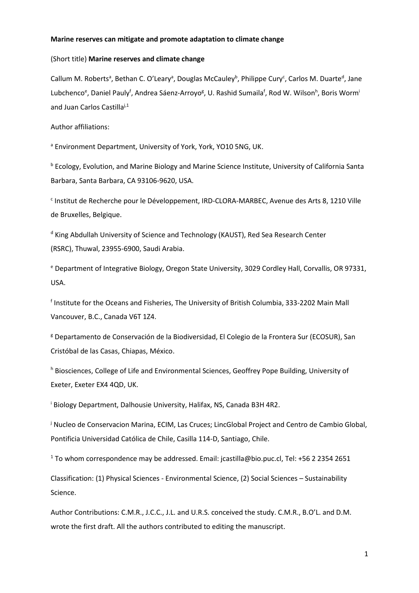#### **Marine reserves can mitigate and promote adaptation to climate change**

## (Short title) **Marine reserves and climate change**

Callum M. Roberts<sup>a</sup>, Bethan C. O'Leary<sup>a</sup>, Douglas McCauley<sup>b</sup>, Philippe Cury<sup>c</sup>, Carlos M. Duarte<sup>d</sup>, Jane Lubchenco<sup>e</sup>, Daniel Pauly<sup>f</sup>, Andrea Sáenz-Arroyo<sup>g</sup>, U. Rashid Sumaila<sup>f</sup>, Rod W. Wilson<sup>h</sup>, Boris Worm<sup>i</sup> and Juan Carlos Castilla<sup>j,1</sup>

Author affiliations:

<sup>a</sup> Environment Department, University of York, York, YO10 5NG, UK.

**b Ecology, Evolution, and Marine Biology and Marine Science Institute, University of California Santa** Barbara, Santa Barbara, CA 93106-9620, USA.

<sup>c</sup> Institut de Recherche pour le Développement, IRD-CLORA-MARBEC, Avenue des Arts 8, 1210 Ville de Bruxelles, Belgique.

<sup>d</sup> King Abdullah University of Science and Technology (KAUST), Red Sea Research Center (RSRC), Thuwal, 23955-6900, Saudi Arabia.

<sup>e</sup> Department of Integrative Biology, Oregon State University, 3029 Cordley Hall, Corvallis, OR 97331, USA.

f Institute for the Oceans and Fisheries, The University of British Columbia, 333-2202 Main Mall Vancouver, B.C., Canada V6T 1Z4.

<sup>g</sup> Departamento de Conservación de la Biodiversidad, El Colegio de la Frontera Sur (ECOSUR), San Cristóbal de las Casas, Chiapas, México.

h Biosciences, College of Life and Environmental Sciences, Geoffrey Pope Building, University of Exeter, Exeter EX4 4QD, UK.

i Biology Department, Dalhousie University, Halifax, NS, Canada B3H 4R2.

<sup>j</sup> Nucleo de Conservacion Marina, ECIM, Las Cruces; LincGlobal Project and Centro de Cambio Global, Pontificia Universidad Católica de Chile, Casilla 114-D, Santiago, Chile.

<sup>1</sup> To whom correspondence may be addressed. Email: jcastilla@bio.puc.cl, Tel: +56 2 2354 2651

Classification: (1) Physical Sciences - Environmental Science, (2) Social Sciences – Sustainability Science.

Author Contributions: C.M.R., J.C.C., J.L. and U.R.S. conceived the study. C.M.R., B.O'L. and D.M. wrote the first draft. All the authors contributed to editing the manuscript.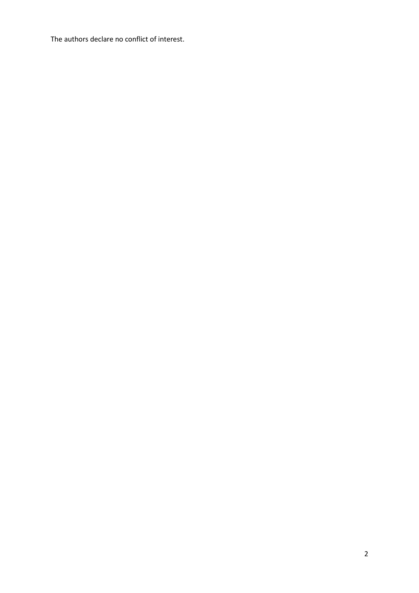The authors declare no conflict of interest.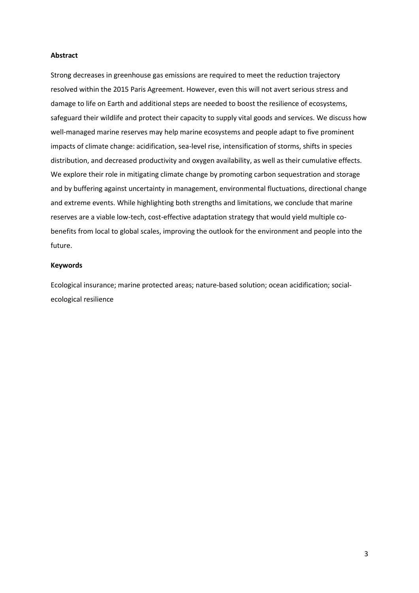## **Abstract**

Strong decreases in greenhouse gas emissions are required to meet the reduction trajectory resolved within the 2015 Paris Agreement. However, even this will not avert serious stress and damage to life on Earth and additional steps are needed to boost the resilience of ecosystems, safeguard their wildlife and protect their capacity to supply vital goods and services. We discuss how well-managed marine reserves may help marine ecosystems and people adapt to five prominent impacts of climate change: acidification, sea-level rise, intensification of storms, shifts in species distribution, and decreased productivity and oxygen availability, as well as their cumulative effects. We explore their role in mitigating climate change by promoting carbon sequestration and storage and by buffering against uncertainty in management, environmental fluctuations, directional change and extreme events. While highlighting both strengths and limitations, we conclude that marine reserves are a viable low-tech, cost-effective adaptation strategy that would yield multiple cobenefits from local to global scales, improving the outlook for the environment and people into the future.

# **Keywords**

Ecological insurance; marine protected areas; nature-based solution; ocean acidification; socialecological resilience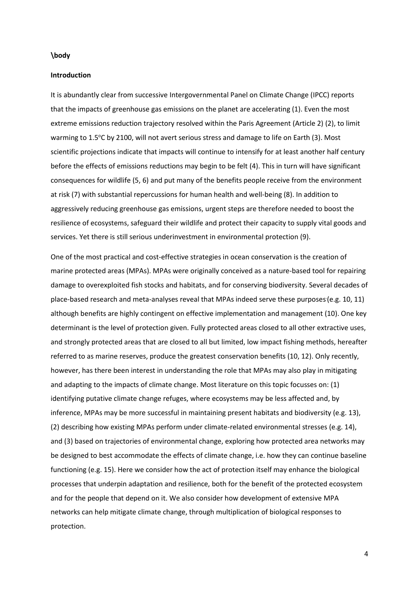#### **\body**

## **Introduction**

It is abundantly clear from successive Intergovernmental Panel on Climate Change (IPCC) reports that the impacts of greenhouse gas emissions on the planet are accelerating (1). Even the most extreme emissions reduction trajectory resolved within the Paris Agreement (Article 2) (2), to limit warming to 1.5°C by 2100, will not avert serious stress and damage to life on Earth (3). Most scientific projections indicate that impacts will continue to intensify for at least another half century before the effects of emissions reductions may begin to be felt (4). This in turn will have significant consequences for wildlife (5, 6) and put many of the benefits people receive from the environment at risk (7) with substantial repercussions for human health and well-being (8). In addition to aggressively reducing greenhouse gas emissions, urgent steps are therefore needed to boost the resilience of ecosystems, safeguard their wildlife and protect their capacity to supply vital goods and services. Yet there is still serious underinvestment in environmental protection (9).

One of the most practical and cost-effective strategies in ocean conservation is the creation of marine protected areas (MPAs). MPAs were originally conceived as a nature-based tool for repairing damage to overexploited fish stocks and habitats, and for conserving biodiversity. Several decades of place-based research and meta-analyses reveal that MPAs indeed serve these purposes (e.g. 10, 11) although benefits are highly contingent on effective implementation and management (10). One key determinant is the level of protection given. Fully protected areas closed to all other extractive uses, and strongly protected areas that are closed to all but limited, low impact fishing methods, hereafter referred to as marine reserves, produce the greatest conservation benefits (10, 12). Only recently, however, has there been interest in understanding the role that MPAs may also play in mitigating and adapting to the impacts of climate change. Most literature on this topic focusses on: (1) identifying putative climate change refuges, where ecosystems may be less affected and, by inference, MPAs may be more successful in maintaining present habitats and biodiversity (e.g. 13), (2) describing how existing MPAs perform under climate-related environmental stresses (e.g. 14), and (3) based on trajectories of environmental change, exploring how protected area networks may be designed to best accommodate the effects of climate change, i.e. how they can continue baseline functioning (e.g. 15). Here we consider how the act of protection itself may enhance the biological processes that underpin adaptation and resilience, both for the benefit of the protected ecosystem and for the people that depend on it. We also consider how development of extensive MPA networks can help mitigate climate change, through multiplication of biological responses to protection.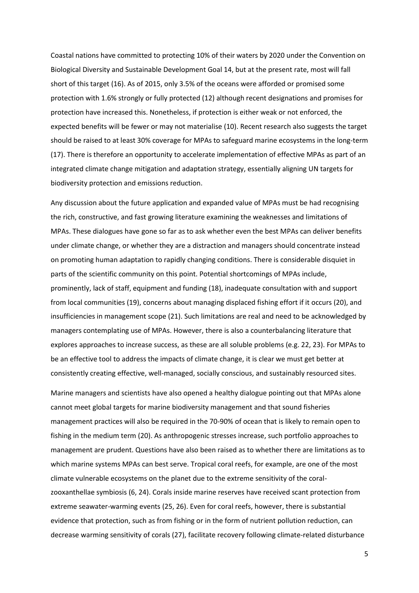Coastal nations have committed to protecting 10% of their waters by 2020 under the Convention on Biological Diversity and Sustainable Development Goal 14, but at the present rate, most will fall short of this target (16). As of 2015, only 3.5% of the oceans were afforded or promised some protection with 1.6% strongly or fully protected (12) although recent designations and promises for protection have increased this. Nonetheless, if protection is either weak or not enforced, the expected benefits will be fewer or may not materialise (10). Recent research also suggests the target should be raised to at least 30% coverage for MPAs to safeguard marine ecosystems in the long-term (17). There is therefore an opportunity to accelerate implementation of effective MPAs as part of an integrated climate change mitigation and adaptation strategy, essentially aligning UN targets for biodiversity protection and emissions reduction.

Any discussion about the future application and expanded value of MPAs must be had recognising the rich, constructive, and fast growing literature examining the weaknesses and limitations of MPAs. These dialogues have gone so far as to ask whether even the best MPAs can deliver benefits under climate change, or whether they are a distraction and managers should concentrate instead on promoting human adaptation to rapidly changing conditions. There is considerable disquiet in parts of the scientific community on this point. Potential shortcomings of MPAs include, prominently, lack of staff, equipment and funding (18), inadequate consultation with and support from local communities (19), concerns about managing displaced fishing effort if it occurs (20), and insufficiencies in management scope (21). Such limitations are real and need to be acknowledged by managers contemplating use of MPAs. However, there is also a counterbalancing literature that explores approaches to increase success, as these are all soluble problems (e.g. 22, 23). For MPAs to be an effective tool to address the impacts of climate change, it is clear we must get better at consistently creating effective, well-managed, socially conscious, and sustainably resourced sites.

Marine managers and scientists have also opened a healthy dialogue pointing out that MPAs alone cannot meet global targets for marine biodiversity management and that sound fisheries management practices will also be required in the 70-90% of ocean that is likely to remain open to fishing in the medium term (20). As anthropogenic stresses increase, such portfolio approaches to management are prudent. Questions have also been raised as to whether there are limitations as to which marine systems MPAs can best serve. Tropical coral reefs, for example, are one of the most climate vulnerable ecosystems on the planet due to the extreme sensitivity of the coralzooxanthellae symbiosis (6, 24). Corals inside marine reserves have received scant protection from extreme seawater-warming events (25, 26). Even for coral reefs, however, there is substantial evidence that protection, such as from fishing or in the form of nutrient pollution reduction, can decrease warming sensitivity of corals (27), facilitate recovery following climate-related disturbance

5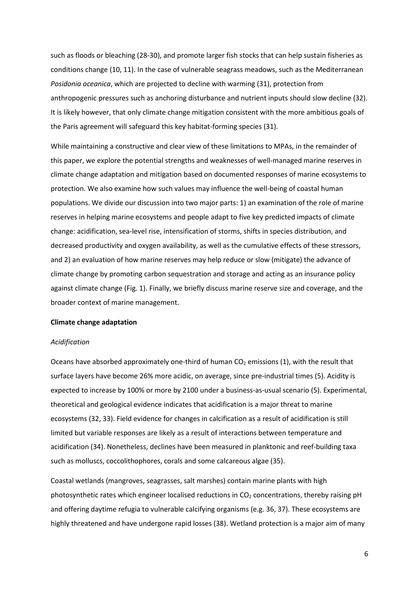such as floods or bleaching (28-30), and promote larger fish stocks that can help sustain fisheries as conditions change (10, 11). In the case of vulnerable seagrass meadows, such as the Mediterranean *Posidonia oceanica*, which are projected to decline with warming (31), protection from anthropogenic pressures such as anchoring disturbance and nutrient inputs should slow decline (32). It is likely however, that only climate change mitigation consistent with the more ambitious goals of the Paris agreement will safeguard this key habitat-forming species (31).

While maintaining a constructive and clear view of these limitations to MPAs, in the remainder of this paper, we explore the potential strengths and weaknesses of well-managed marine reserves in climate change adaptation and mitigation based on documented responses of marine ecosystems to protection. We also examine how such values may influence the well-being of coastal human populations. We divide our discussion into two major parts: 1) an examination of the role of marine reserves in helping marine ecosystems and people adapt to five key predicted impacts of climate change: acidification, sea-level rise, intensification of storms, shifts in species distribution, and decreased productivity and oxygen availability, as well as the cumulative effects of these stressors, and 2) an evaluation of how marine reserves may help reduce or slow (mitigate) the advance of climate change by promoting carbon sequestration and storage and acting as an insurance policy against climate change (Fig. 1). Finally, we briefly discuss marine reserve size and coverage, and the broader context of marine management.

## **Climate change adaptation**

#### *Acidification*

Oceans have absorbed approximately one-third of human  $CO<sub>2</sub>$  emissions (1), with the result that surface layers have become 26% more acidic, on average, since pre-industrial times (5). Acidity is expected to increase by 100% or more by 2100 under a business-as-usual scenario (5). Experimental, theoretical and geological evidence indicates that acidification is a major threat to marine ecosystems (32, 33). Field evidence for changes in calcification as a result of acidification is still limited but variable responses are likely as a result of interactions between temperature and acidification (34). Nonetheless, declines have been measured in planktonic and reef-building taxa such as molluscs, coccolithophores, corals and some calcareous algae (35).

Coastal wetlands (mangroves, seagrasses, salt marshes) contain marine plants with high photosynthetic rates which engineer localised reductions in CO<sub>2</sub> concentrations, thereby raising pH and offering daytime refugia to vulnerable calcifying organisms (e.g. 36, 37). These ecosystems are highly threatened and have undergone rapid losses (38). Wetland protection is a major aim of many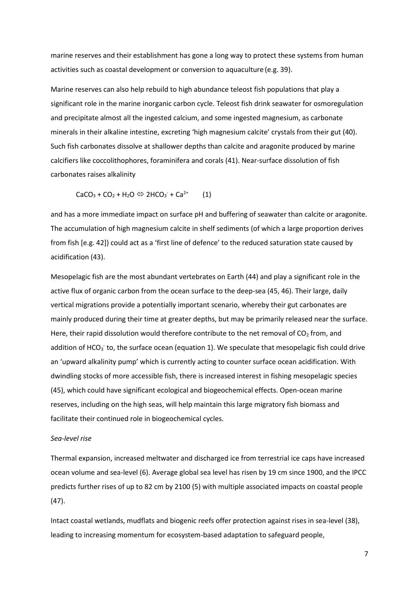marine reserves and their establishment has gone a long way to protect these systems from human activities such as coastal development or conversion to aquaculture (e.g. 39).

Marine reserves can also help rebuild to high abundance teleost fish populations that play a significant role in the marine inorganic carbon cycle. Teleost fish drink seawater for osmoregulation and precipitate almost all the ingested calcium, and some ingested magnesium, as carbonate minerals in their alkaline intestine, excreting 'high magnesium calcite' crystals from their gut (40). Such fish carbonates dissolve at shallower depths than calcite and aragonite produced by marine calcifiers like coccolithophores, foraminifera and corals (41). Near-surface dissolution of fish carbonates raises alkalinity

$$
CaCO3 + CO2 + H2O \Leftrightarrow 2HCO3 + Ca2+ \qquad (1)
$$

and has a more immediate impact on surface pH and buffering of seawater than calcite or aragonite. The accumulation of high magnesium calcite in shelf sediments (of which a large proportion derives from fish [e.g. 42]) could act as a 'first line of defence' to the reduced saturation state caused by acidification (43).

Mesopelagic fish are the most abundant vertebrates on Earth (44) and play a significant role in the active flux of organic carbon from the ocean surface to the deep-sea (45, 46). Their large, daily vertical migrations provide a potentially important scenario, whereby their gut carbonates are mainly produced during their time at greater depths, but may be primarily released near the surface. Here, their rapid dissolution would therefore contribute to the net removal of  $CO<sub>2</sub>$  from, and addition of HCO<sub>3</sub> to, the surface ocean (equation 1). We speculate that mesopelagic fish could drive an 'upward alkalinity pump' which is currently acting to counter surface ocean acidification. With dwindling stocks of more accessible fish, there is increased interest in fishing mesopelagic species (45), which could have significant ecological and biogeochemical effects. Open-ocean marine reserves, including on the high seas, will help maintain this large migratory fish biomass and facilitate their continued role in biogeochemical cycles.

## *Sea-level rise*

Thermal expansion, increased meltwater and discharged ice from terrestrial ice caps have increased ocean volume and sea-level (6). Average global sea level has risen by 19 cm since 1900, and the IPCC predicts further rises of up to 82 cm by 2100 (5) with multiple associated impacts on coastal people (47).

Intact coastal wetlands, mudflats and biogenic reefs offer protection against rises in sea-level (38), leading to increasing momentum for ecosystem-based adaptation to safeguard people,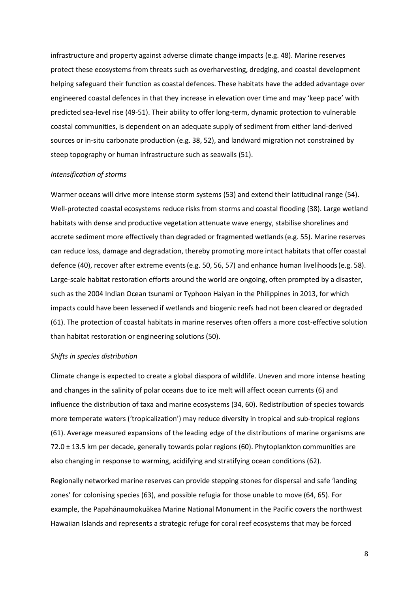infrastructure and property against adverse climate change impacts (e.g. 48). Marine reserves protect these ecosystems from threats such as overharvesting, dredging, and coastal development helping safeguard their function as coastal defences. These habitats have the added advantage over engineered coastal defences in that they increase in elevation over time and may 'keep pace' with predicted sea-level rise (49-51). Their ability to offer long-term, dynamic protection to vulnerable coastal communities, is dependent on an adequate supply of sediment from either land-derived sources or in-situ carbonate production (e.g. 38, 52), and landward migration not constrained by steep topography or human infrastructure such as seawalls (51).

## *Intensification of storms*

Warmer oceans will drive more intense storm systems (53) and extend their latitudinal range (54). Well-protected coastal ecosystems reduce risks from storms and coastal flooding (38). Large wetland habitats with dense and productive vegetation attenuate wave energy, stabilise shorelines and accrete sediment more effectively than degraded or fragmented wetlands(e.g. 55). Marine reserves can reduce loss, damage and degradation, thereby promoting more intact habitats that offer coastal defence (40), recover after extreme events(e.g. 50, 56, 57) and enhance human livelihoods(e.g. 58). Large-scale habitat restoration efforts around the world are ongoing, often prompted by a disaster, such as the 2004 Indian Ocean tsunami or Typhoon Haiyan in the Philippines in 2013, for which impacts could have been lessened if wetlands and biogenic reefs had not been cleared or degraded (61). The protection of coastal habitats in marine reserves often offers a more cost-effective solution than habitat restoration or engineering solutions (50).

## *Shifts in species distribution*

Climate change is expected to create a global diaspora of wildlife. Uneven and more intense heating and changes in the salinity of polar oceans due to ice melt will affect ocean currents (6) and influence the distribution of taxa and marine ecosystems (34, 60). Redistribution of species towards more temperate waters ('tropicalization') may reduce diversity in tropical and sub-tropical regions (61). Average measured expansions of the leading edge of the distributions of marine organisms are  $72.0 \pm 13.5$  km per decade, generally towards polar regions (60). Phytoplankton communities are also changing in response to warming, acidifying and stratifying ocean conditions (62).

Regionally networked marine reserves can provide stepping stones for dispersal and safe 'landing zones' for colonising species (63), and possible refugia for those unable to move (64, 65). For example, the Papahānaumokuākea Marine National Monument in the Pacific covers the northwest Hawaiian Islands and represents a strategic refuge for coral reef ecosystems that may be forced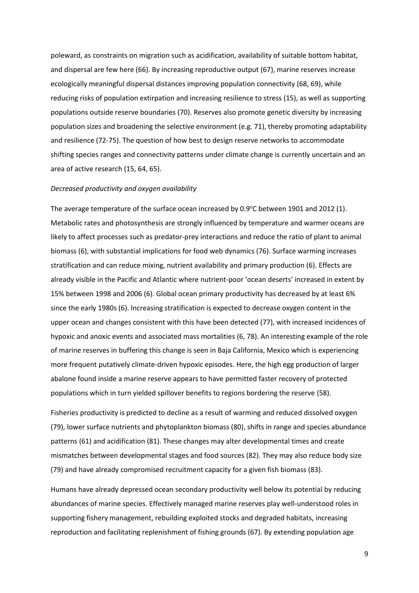poleward, as constraints on migration such as acidification, availability of suitable bottom habitat, and dispersal are few here (66). By increasing reproductive output (67), marine reserves increase ecologically meaningful dispersal distances improving population connectivity (68, 69), while reducing risks of population extirpation and increasing resilience to stress (15), as well as supporting populations outside reserve boundaries (70). Reserves also promote genetic diversity by increasing population sizes and broadening the selective environment (e.g. 71), thereby promoting adaptability and resilience (72-75). The question of how best to design reserve networks to accommodate shifting species ranges and connectivity patterns under climate change is currently uncertain and an area of active research (15, 64, 65).

#### *Decreased productivity and oxygen availability*

The average temperature of the surface ocean increased by  $0.9^{\circ}$ C between 1901 and 2012 (1). Metabolic rates and photosynthesis are strongly influenced by temperature and warmer oceans are likely to affect processes such as predator-prey interactions and reduce the ratio of plant to animal biomass (6), with substantial implications for food web dynamics (76). Surface warming increases stratification and can reduce mixing, nutrient availability and primary production (6). Effects are already visible in the Pacific and Atlantic where nutrient-poor 'ocean deserts' increased in extent by 15% between 1998 and 2006 (6). Global ocean primary productivity has decreased by at least 6% since the early 1980s (6). Increasing stratification is expected to decrease oxygen content in the upper ocean and changes consistent with this have been detected (77), with increased incidences of hypoxic and anoxic events and associated mass mortalities (6, 78). An interesting example of the role of marine reserves in buffering this change is seen in Baja California, Mexico which is experiencing more frequent putatively climate-driven hypoxic episodes. Here, the high egg production of larger abalone found inside a marine reserve appears to have permitted faster recovery of protected populations which in turn yielded spillover benefits to regions bordering the reserve (58).

Fisheries productivity is predicted to decline as a result of warming and reduced dissolved oxygen (79), lower surface nutrients and phytoplankton biomass (80), shifts in range and species abundance patterns (61) and acidification (81). These changes may alter developmental times and create mismatches between developmental stages and food sources (82). They may also reduce body size (79) and have already compromised recruitment capacity for a given fish biomass (83).

Humans have already depressed ocean secondary productivity well below its potential by reducing abundances of marine species. Effectively managed marine reserves play well-understood roles in supporting fishery management, rebuilding exploited stocks and degraded habitats, increasing reproduction and facilitating replenishment of fishing grounds (67). By extending population age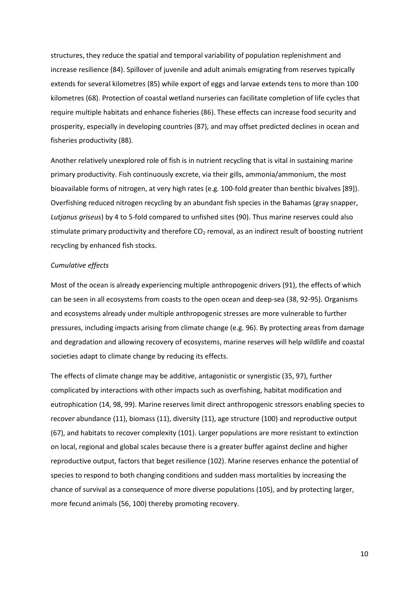structures, they reduce the spatial and temporal variability of population replenishment and increase resilience (84). Spillover of juvenile and adult animals emigrating from reserves typically extends for several kilometres (85) while export of eggs and larvae extends tens to more than 100 kilometres (68). Protection of coastal wetland nurseries can facilitate completion of life cycles that require multiple habitats and enhance fisheries (86). These effects can increase food security and prosperity, especially in developing countries (87), and may offset predicted declines in ocean and fisheries productivity (88).

Another relatively unexplored role of fish is in nutrient recycling that is vital in sustaining marine primary productivity. Fish continuously excrete, via their gills, ammonia/ammonium, the most bioavailable forms of nitrogen, at very high rates (e.g. 100-fold greater than benthic bivalves [89]). Overfishing reduced nitrogen recycling by an abundant fish species in the Bahamas (gray snapper, *Lutjanus griseus*) by 4 to 5-fold compared to unfished sites (90). Thus marine reserves could also stimulate primary productivity and therefore CO<sub>2</sub> removal, as an indirect result of boosting nutrient recycling by enhanced fish stocks.

## *Cumulative effects*

Most of the ocean is already experiencing multiple anthropogenic drivers (91), the effects of which can be seen in all ecosystems from coasts to the open ocean and deep-sea (38, 92-95). Organisms and ecosystems already under multiple anthropogenic stresses are more vulnerable to further pressures, including impacts arising from climate change (e.g. 96). By protecting areas from damage and degradation and allowing recovery of ecosystems, marine reserves will help wildlife and coastal societies adapt to climate change by reducing its effects.

The effects of climate change may be additive, antagonistic or synergistic (35, 97), further complicated by interactions with other impacts such as overfishing, habitat modification and eutrophication (14, 98, 99). Marine reserves limit direct anthropogenic stressors enabling species to recover abundance (11), biomass (11), diversity (11), age structure (100) and reproductive output (67), and habitats to recover complexity (101). Larger populations are more resistant to extinction on local, regional and global scales because there is a greater buffer against decline and higher reproductive output, factors that beget resilience (102). Marine reserves enhance the potential of species to respond to both changing conditions and sudden mass mortalities by increasing the chance of survival as a consequence of more diverse populations (105), and by protecting larger, more fecund animals (56, 100) thereby promoting recovery.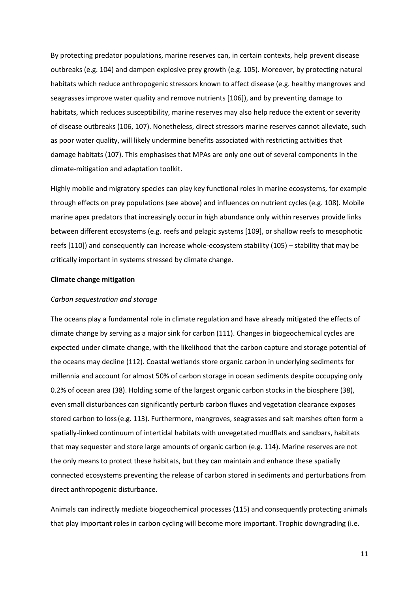By protecting predator populations, marine reserves can, in certain contexts, help prevent disease outbreaks (e.g. 104) and dampen explosive prey growth (e.g. 105). Moreover, by protecting natural habitats which reduce anthropogenic stressors known to affect disease (e.g. healthy mangroves and seagrasses improve water quality and remove nutrients [106]), and by preventing damage to habitats, which reduces susceptibility, marine reserves may also help reduce the extent or severity of disease outbreaks (106, 107). Nonetheless, direct stressors marine reserves cannot alleviate, such as poor water quality, will likely undermine benefits associated with restricting activities that damage habitats (107). This emphasises that MPAs are only one out of several components in the climate-mitigation and adaptation toolkit.

Highly mobile and migratory species can play key functional roles in marine ecosystems, for example through effects on prey populations (see above) and influences on nutrient cycles (e.g. 108). Mobile marine apex predators that increasingly occur in high abundance only within reserves provide links between different ecosystems (e.g. reefs and pelagic systems [109], or shallow reefs to mesophotic reefs [110]) and consequently can increase whole-ecosystem stability (105) – stability that may be critically important in systems stressed by climate change.

#### **Climate change mitigation**

#### *Carbon sequestration and storage*

The oceans play a fundamental role in climate regulation and have already mitigated the effects of climate change by serving as a major sink for carbon (111). Changes in biogeochemical cycles are expected under climate change, with the likelihood that the carbon capture and storage potential of the oceans may decline (112). Coastal wetlands store organic carbon in underlying sediments for millennia and account for almost 50% of carbon storage in ocean sediments despite occupying only 0.2% of ocean area (38). Holding some of the largest organic carbon stocks in the biosphere (38), even small disturbances can significantly perturb carbon fluxes and vegetation clearance exposes stored carbon to loss(e.g. 113). Furthermore, mangroves, seagrasses and salt marshes often form a spatially-linked continuum of intertidal habitats with unvegetated mudflats and sandbars, habitats that may sequester and store large amounts of organic carbon (e.g. 114). Marine reserves are not the only means to protect these habitats, but they can maintain and enhance these spatially connected ecosystems preventing the release of carbon stored in sediments and perturbations from direct anthropogenic disturbance.

Animals can indirectly mediate biogeochemical processes (115) and consequently protecting animals that play important roles in carbon cycling will become more important. Trophic downgrading (i.e.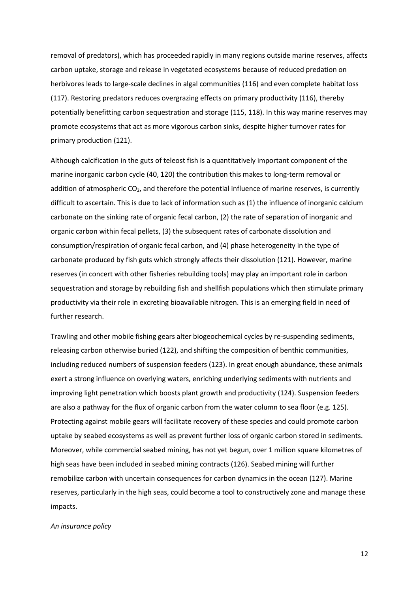removal of predators), which has proceeded rapidly in many regions outside marine reserves, affects carbon uptake, storage and release in vegetated ecosystems because of reduced predation on herbivores leads to large-scale declines in algal communities (116) and even complete habitat loss (117). Restoring predators reduces overgrazing effects on primary productivity (116), thereby potentially benefitting carbon sequestration and storage (115, 118). In this way marine reserves may promote ecosystems that act as more vigorous carbon sinks, despite higher turnover rates for primary production (121).

Although calcification in the guts of teleost fish is a quantitatively important component of the marine inorganic carbon cycle (40, 120) the contribution this makes to long-term removal or addition of atmospheric  $CO<sub>2</sub>$ , and therefore the potential influence of marine reserves, is currently difficult to ascertain. This is due to lack of information such as (1) the influence of inorganic calcium carbonate on the sinking rate of organic fecal carbon, (2) the rate of separation of inorganic and organic carbon within fecal pellets, (3) the subsequent rates of carbonate dissolution and consumption/respiration of organic fecal carbon, and (4) phase heterogeneity in the type of carbonate produced by fish guts which strongly affects their dissolution (121). However, marine reserves (in concert with other fisheries rebuilding tools) may play an important role in carbon sequestration and storage by rebuilding fish and shellfish populations which then stimulate primary productivity via their role in excreting bioavailable nitrogen. This is an emerging field in need of further research.

Trawling and other mobile fishing gears alter biogeochemical cycles by re-suspending sediments, releasing carbon otherwise buried (122), and shifting the composition of benthic communities, including reduced numbers of suspension feeders (123). In great enough abundance, these animals exert a strong influence on overlying waters, enriching underlying sediments with nutrients and improving light penetration which boosts plant growth and productivity (124). Suspension feeders are also a pathway for the flux of organic carbon from the water column to sea floor (e.g. 125). Protecting against mobile gears will facilitate recovery of these species and could promote carbon uptake by seabed ecosystems as well as prevent further loss of organic carbon stored in sediments. Moreover, while commercial seabed mining, has not yet begun, over 1 million square kilometres of high seas have been included in seabed mining contracts (126). Seabed mining will further remobilize carbon with uncertain consequences for carbon dynamics in the ocean (127). Marine reserves, particularly in the high seas, could become a tool to constructively zone and manage these impacts.

*An insurance policy* 

12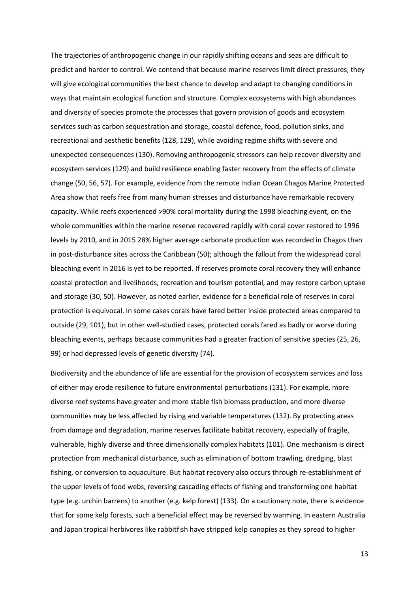The trajectories of anthropogenic change in our rapidly shifting oceans and seas are difficult to predict and harder to control. We contend that because marine reserves limit direct pressures, they will give ecological communities the best chance to develop and adapt to changing conditions in ways that maintain ecological function and structure. Complex ecosystems with high abundances and diversity of species promote the processes that govern provision of goods and ecosystem services such as carbon sequestration and storage, coastal defence, food, pollution sinks, and recreational and aesthetic benefits (128, 129), while avoiding regime shifts with severe and unexpected consequences (130). Removing anthropogenic stressors can help recover diversity and ecosystem services (129) and build resilience enabling faster recovery from the effects of climate change (50, 56, 57). For example, evidence from the remote Indian Ocean Chagos Marine Protected Area show that reefs free from many human stresses and disturbance have remarkable recovery capacity. While reefs experienced >90% coral mortality during the 1998 bleaching event, on the whole communities within the marine reserve recovered rapidly with coral cover restored to 1996 levels by 2010, and in 2015 28% higher average carbonate production was recorded in Chagos than in post-disturbance sites across the Caribbean (50); although the fallout from the widespread coral bleaching event in 2016 is yet to be reported. If reserves promote coral recovery they will enhance coastal protection and livelihoods, recreation and tourism potential, and may restore carbon uptake and storage (30, 50). However, as noted earlier, evidence for a beneficial role of reserves in coral protection is equivocal. In some cases corals have fared better inside protected areas compared to outside (29, 101), but in other well-studied cases, protected corals fared as badly or worse during bleaching events, perhaps because communities had a greater fraction of sensitive species (25, 26, 99) or had depressed levels of genetic diversity (74).

Biodiversity and the abundance of life are essential for the provision of ecosystem services and loss of either may erode resilience to future environmental perturbations (131). For example, more diverse reef systems have greater and more stable fish biomass production, and more diverse communities may be less affected by rising and variable temperatures (132). By protecting areas from damage and degradation, marine reserves facilitate habitat recovery, especially of fragile, vulnerable, highly diverse and three dimensionally complex habitats (101). One mechanism is direct protection from mechanical disturbance, such as elimination of bottom trawling, dredging, blast fishing, or conversion to aquaculture. But habitat recovery also occurs through re-establishment of the upper levels of food webs, reversing cascading effects of fishing and transforming one habitat type (e.g. urchin barrens) to another (e.g. kelp forest) (133). On a cautionary note, there is evidence that for some kelp forests, such a beneficial effect may be reversed by warming. In eastern Australia and Japan tropical herbivores like rabbitfish have stripped kelp canopies as they spread to higher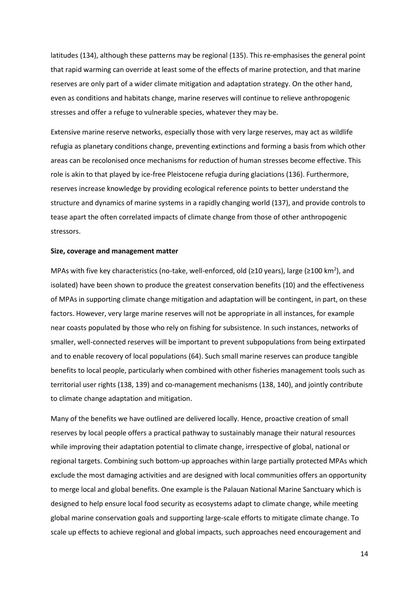latitudes (134), although these patterns may be regional (135). This re-emphasises the general point that rapid warming can override at least some of the effects of marine protection, and that marine reserves are only part of a wider climate mitigation and adaptation strategy. On the other hand, even as conditions and habitats change, marine reserves will continue to relieve anthropogenic stresses and offer a refuge to vulnerable species, whatever they may be.

Extensive marine reserve networks, especially those with very large reserves, may act as wildlife refugia as planetary conditions change, preventing extinctions and forming a basis from which other areas can be recolonised once mechanisms for reduction of human stresses become effective. This role is akin to that played by ice-free Pleistocene refugia during glaciations (136). Furthermore, reserves increase knowledge by providing ecological reference points to better understand the structure and dynamics of marine systems in a rapidly changing world (137), and provide controls to tease apart the often correlated impacts of climate change from those of other anthropogenic stressors.

#### **Size, coverage and management matter**

MPAs with five key characteristics (no-take, well-enforced, old ( $\geq$ 10 years), large ( $\geq$ 100 km<sup>2</sup>), and isolated) have been shown to produce the greatest conservation benefits (10) and the effectiveness of MPAs in supporting climate change mitigation and adaptation will be contingent, in part, on these factors. However, very large marine reserves will not be appropriate in all instances, for example near coasts populated by those who rely on fishing for subsistence. In such instances, networks of smaller, well-connected reserves will be important to prevent subpopulations from being extirpated and to enable recovery of local populations (64). Such small marine reserves can produce tangible benefits to local people, particularly when combined with other fisheries management tools such as territorial user rights (138, 139) and co-management mechanisms (138, 140), and jointly contribute to climate change adaptation and mitigation.

Many of the benefits we have outlined are delivered locally. Hence, proactive creation of small reserves by local people offers a practical pathway to sustainably manage their natural resources while improving their adaptation potential to climate change, irrespective of global, national or regional targets. Combining such bottom-up approaches within large partially protected MPAs which exclude the most damaging activities and are designed with local communities offers an opportunity to merge local and global benefits. One example is the Palauan National Marine Sanctuary which is designed to help ensure local food security as ecosystems adapt to climate change, while meeting global marine conservation goals and supporting large-scale efforts to mitigate climate change. To scale up effects to achieve regional and global impacts, such approaches need encouragement and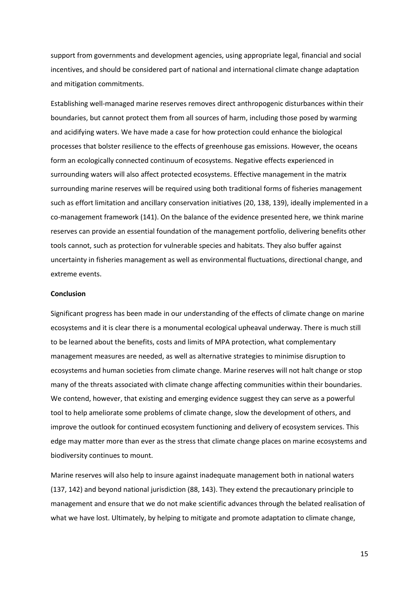support from governments and development agencies, using appropriate legal, financial and social incentives, and should be considered part of national and international climate change adaptation and mitigation commitments.

Establishing well-managed marine reserves removes direct anthropogenic disturbances within their boundaries, but cannot protect them from all sources of harm, including those posed by warming and acidifying waters. We have made a case for how protection could enhance the biological processes that bolster resilience to the effects of greenhouse gas emissions. However, the oceans form an ecologically connected continuum of ecosystems. Negative effects experienced in surrounding waters will also affect protected ecosystems. Effective management in the matrix surrounding marine reserves will be required using both traditional forms of fisheries management such as effort limitation and ancillary conservation initiatives (20, 138, 139), ideally implemented in a co-management framework (141). On the balance of the evidence presented here, we think marine reserves can provide an essential foundation of the management portfolio, delivering benefits other tools cannot, such as protection for vulnerable species and habitats. They also buffer against uncertainty in fisheries management as well as environmental fluctuations, directional change, and extreme events.

## **Conclusion**

Significant progress has been made in our understanding of the effects of climate change on marine ecosystems and it is clear there is a monumental ecological upheaval underway. There is much still to be learned about the benefits, costs and limits of MPA protection, what complementary management measures are needed, as well as alternative strategies to minimise disruption to ecosystems and human societies from climate change. Marine reserves will not halt change or stop many of the threats associated with climate change affecting communities within their boundaries. We contend, however, that existing and emerging evidence suggest they can serve as a powerful tool to help ameliorate some problems of climate change, slow the development of others, and improve the outlook for continued ecosystem functioning and delivery of ecosystem services. This edge may matter more than ever as the stress that climate change places on marine ecosystems and biodiversity continues to mount.

Marine reserves will also help to insure against inadequate management both in national waters (137, 142) and beyond national jurisdiction (88, 143). They extend the precautionary principle to management and ensure that we do not make scientific advances through the belated realisation of what we have lost. Ultimately, by helping to mitigate and promote adaptation to climate change,

15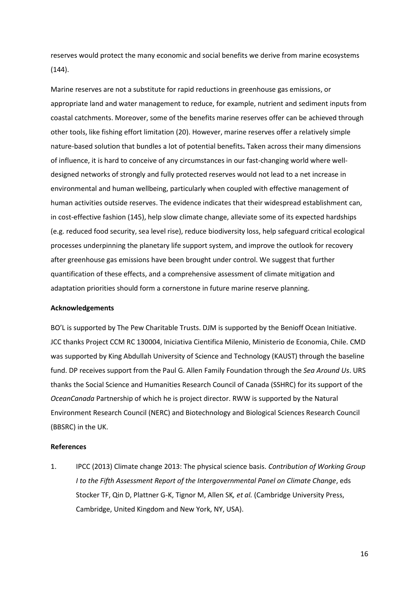reserves would protect the many economic and social benefits we derive from marine ecosystems (144).

Marine reserves are not a substitute for rapid reductions in greenhouse gas emissions, or appropriate land and water management to reduce, for example, nutrient and sediment inputs from coastal catchments. Moreover, some of the benefits marine reserves offer can be achieved through other tools, like fishing effort limitation (20). However, marine reserves offer a relatively simple nature-based solution that bundles a lot of potential benefits**.** Taken across their many dimensions of influence, it is hard to conceive of any circumstances in our fast-changing world where welldesigned networks of strongly and fully protected reserves would not lead to a net increase in environmental and human wellbeing, particularly when coupled with effective management of human activities outside reserves. The evidence indicates that their widespread establishment can, in cost-effective fashion (145), help slow climate change, alleviate some of its expected hardships (e.g. reduced food security, sea level rise), reduce biodiversity loss, help safeguard critical ecological processes underpinning the planetary life support system, and improve the outlook for recovery after greenhouse gas emissions have been brought under control. We suggest that further quantification of these effects, and a comprehensive assessment of climate mitigation and adaptation priorities should form a cornerstone in future marine reserve planning.

## **Acknowledgements**

BO'L is supported by The Pew Charitable Trusts. DJM is supported by the Benioff Ocean Initiative. JCC thanks Project CCM RC 130004, Iniciativa Cientifica Milenio, Ministerio de Economia, Chile. CMD was supported by King Abdullah University of Science and Technology (KAUST) through the baseline fund. DP receives support from the Paul G. Allen Family Foundation through the *Sea Around Us*. URS thanks the Social Science and Humanities Research Council of Canada (SSHRC) for its support of the *OceanCanada* Partnership of which he is project director. RWW is supported by the Natural Environment Research Council (NERC) and Biotechnology and Biological Sciences Research Council (BBSRC) in the UK.

## **References**

1. IPCC (2013) Climate change 2013: The physical science basis. *Contribution of Working Group I to the Fifth Assessment Report of the Intergovernmental Panel on Climate Change*, eds Stocker TF, Qin D, Plattner G-K, Tignor M, Allen SK*, et al.* (Cambridge University Press, Cambridge, United Kingdom and New York, NY, USA).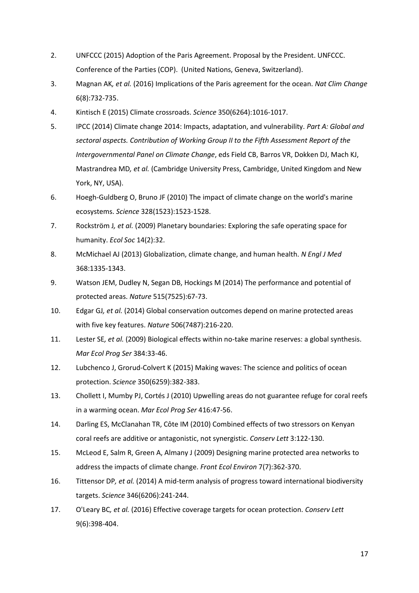- 2. UNFCCC (2015) Adoption of the Paris Agreement. Proposal by the President. UNFCCC. Conference of the Parties (COP). (United Nations, Geneva, Switzerland).
- 3. Magnan AK*, et al.* (2016) Implications of the Paris agreement for the ocean. *Nat Clim Change* 6(8):732-735.
- 4. Kintisch E (2015) Climate crossroads. *Science* 350(6264):1016-1017.
- 5. IPCC (2014) Climate change 2014: Impacts, adaptation, and vulnerability. *Part A: Global and sectoral aspects. Contribution of Working Group II to the Fifth Assessment Report of the Intergovernmental Panel on Climate Change*, eds Field CB, Barros VR, Dokken DJ, Mach KJ, Mastrandrea MD*, et al.* (Cambridge University Press, Cambridge, United Kingdom and New York, NY, USA).
- 6. Hoegh-Guldberg O, Bruno JF (2010) The impact of climate change on the world's marine ecosystems. *Science* 328(1523):1523-1528.
- 7. Rockström J*, et al.* (2009) Planetary boundaries: Exploring the safe operating space for humanity. *Ecol Soc* 14(2):32.
- 8. McMichael AJ (2013) Globalization, climate change, and human health. *N Engl J Med* 368:1335-1343.
- 9. Watson JEM, Dudley N, Segan DB, Hockings M (2014) The performance and potential of protected areas. *Nature* 515(7525):67-73.
- 10. Edgar GJ*, et al.* (2014) Global conservation outcomes depend on marine protected areas with five key features. *Nature* 506(7487):216-220.
- 11. Lester SE*, et al.* (2009) Biological effects within no-take marine reserves: a global synthesis. *Mar Ecol Prog Ser* 384:33-46.
- 12. Lubchenco J, Grorud-Colvert K (2015) Making waves: The science and politics of ocean protection. *Science* 350(6259):382-383.
- 13. Chollett I, Mumby PJ, Cortés J (2010) Upwelling areas do not guarantee refuge for coral reefs in a warming ocean. *Mar Ecol Prog Ser* 416:47-56.
- 14. Darling ES, McClanahan TR, Côte IM (2010) Combined effects of two stressors on Kenyan coral reefs are additive or antagonistic, not synergistic. *Conserv Lett* 3:122-130.
- 15. McLeod E, Salm R, Green A, Almany J (2009) Designing marine protected area networks to address the impacts of climate change. *Front Ecol Environ* 7(7):362-370.
- 16. Tittensor DP*, et al.* (2014) A mid-term analysis of progress toward international biodiversity targets. *Science* 346(6206):241-244.
- 17. O'Leary BC*, et al.* (2016) Effective coverage targets for ocean protection. *Conserv Lett* 9(6):398-404.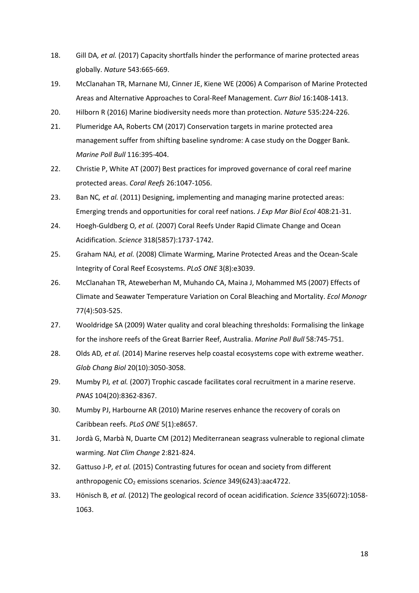- 18. Gill DA*, et al.* (2017) Capacity shortfalls hinder the performance of marine protected areas globally. *Nature* 543:665-669.
- 19. McClanahan TR, Marnane MJ, Cinner JE, Kiene WE (2006) A Comparison of Marine Protected Areas and Alternative Approaches to Coral-Reef Management. *Curr Biol* 16:1408-1413.
- 20. Hilborn R (2016) Marine biodiversity needs more than protection. *Nature* 535:224-226.
- 21. Plumeridge AA, Roberts CM (2017) Conservation targets in marine protected area management suffer from shifting baseline syndrome: A case study on the Dogger Bank. *Marine Poll Bull* 116:395-404.
- 22. Christie P, White AT (2007) Best practices for improved governance of coral reef marine protected areas. *Coral Reefs* 26:1047-1056.
- 23. Ban NC*, et al.* (2011) Designing, implementing and managing marine protected areas: Emerging trends and opportunities for coral reef nations. *J Exp Mar Biol Ecol* 408:21-31.
- 24. Hoegh-Guldberg O*, et al.* (2007) Coral Reefs Under Rapid Climate Change and Ocean Acidification. *Science* 318(5857):1737-1742.
- 25. Graham NAJ*, et al.* (2008) Climate Warming, Marine Protected Areas and the Ocean-Scale Integrity of Coral Reef Ecosystems. *PLoS ONE* 3(8):e3039.
- 26. McClanahan TR, Ateweberhan M, Muhando CA, Maina J, Mohammed MS (2007) Effects of Climate and Seawater Temperature Variation on Coral Bleaching and Mortality. *Ecol Monogr* 77(4):503-525.
- 27. Wooldridge SA (2009) Water quality and coral bleaching thresholds: Formalising the linkage for the inshore reefs of the Great Barrier Reef, Australia. *Marine Poll Bull* 58:745-751.
- 28. Olds AD*, et al.* (2014) Marine reserves help coastal ecosystems cope with extreme weather. *Glob Chang Biol* 20(10):3050-3058.
- 29. Mumby PJ*, et al.* (2007) Trophic cascade facilitates coral recruitment in a marine reserve. *PNAS* 104(20):8362-8367.
- 30. Mumby PJ, Harbourne AR (2010) Marine reserves enhance the recovery of corals on Caribbean reefs. *PLoS ONE* 5(1):e8657.
- 31. Jordà G, Marbà N, Duarte CM (2012) Mediterranean seagrass vulnerable to regional climate warming. *Nat Clim Change* 2:821-824.
- 32. Gattuso J-P*, et al.* (2015) Contrasting futures for ocean and society from different anthropogenic CO2 emissions scenarios. *Science* 349(6243):aac4722.
- 33. Hönisch B*, et al.* (2012) The geological record of ocean acidification. *Science* 335(6072):1058- 1063.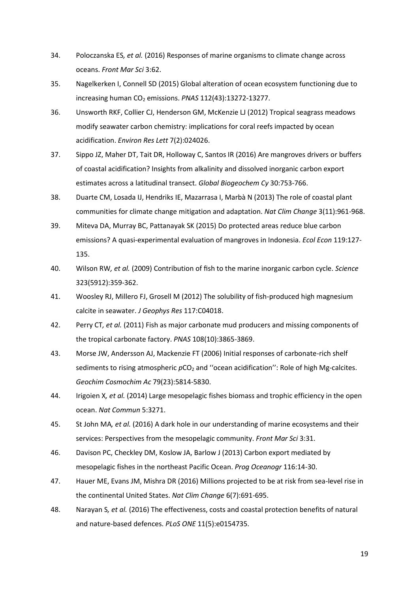- 34. Poloczanska ES*, et al.* (2016) Responses of marine organisms to climate change across oceans. *Front Mar Sci* 3:62.
- 35. Nagelkerken I, Connell SD (2015) Global alteration of ocean ecosystem functioning due to increasing human CO<sub>2</sub> emissions. *PNAS* 112(43):13272-13277.
- 36. Unsworth RKF, Collier CJ, Henderson GM, McKenzie LJ (2012) Tropical seagrass meadows modify seawater carbon chemistry: implications for coral reefs impacted by ocean acidification. *Environ Res Lett* 7(2):024026.
- 37. Sippo JZ, Maher DT, Tait DR, Holloway C, Santos IR (2016) Are mangroves drivers or buffers of coastal acidification? Insights from alkalinity and dissolved inorganic carbon export estimates across a latitudinal transect. *Global Biogeochem Cy* 30:753-766.
- 38. Duarte CM, Losada IJ, Hendriks IE, Mazarrasa I, Marbà N (2013) The role of coastal plant communities for climate change mitigation and adaptation. *Nat Clim Change* 3(11):961-968.
- 39. Miteva DA, Murray BC, Pattanayak SK (2015) Do protected areas reduce blue carbon emissions? A quasi-experimental evaluation of mangroves in Indonesia. *Ecol Econ* 119:127- 135.
- 40. Wilson RW*, et al.* (2009) Contribution of fish to the marine inorganic carbon cycle. *Science* 323(5912):359-362.
- 41. Woosley RJ, Millero FJ, Grosell M (2012) The solubility of fish-produced high magnesium calcite in seawater. *J Geophys Res* 117:C04018.
- 42. Perry CT*, et al.* (2011) Fish as major carbonate mud producers and missing components of the tropical carbonate factory. *PNAS* 108(10):3865-3869.
- 43. Morse JW, Andersson AJ, Mackenzie FT (2006) Initial responses of carbonate-rich shelf sediments to rising atmospheric  $pCO<sub>2</sub>$  and "ocean acidification": Role of high Mg-calcites. *Geochim Cosmochim Ac* 79(23):5814-5830.
- 44. Irigoien X*, et al.* (2014) Large mesopelagic fishes biomass and trophic efficiency in the open ocean. *Nat Commun* 5:3271.
- 45. St John MA*, et al.* (2016) A dark hole in our understanding of marine ecosystems and their services: Perspectives from the mesopelagic community. *Front Mar Sci* 3:31.
- 46. Davison PC, Checkley DM, Koslow JA, Barlow J (2013) Carbon export mediated by mesopelagic fishes in the northeast Pacific Ocean. *Prog Oceanogr* 116:14-30.
- 47. Hauer ME, Evans JM, Mishra DR (2016) Millions projected to be at risk from sea-level rise in the continental United States. *Nat Clim Change* 6(7):691-695.
- 48. Narayan S*, et al.* (2016) The effectiveness, costs and coastal protection benefits of natural and nature-based defences. *PLoS ONE* 11(5):e0154735.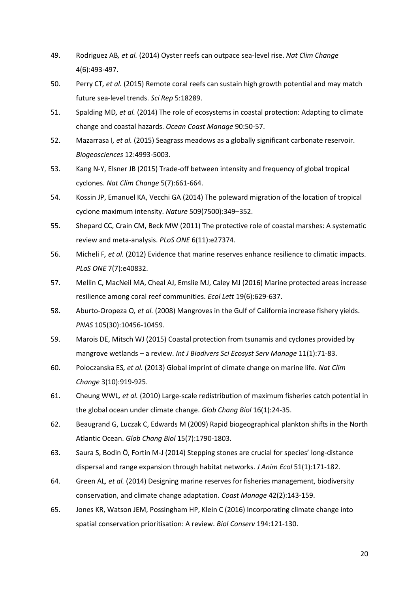- 49. Rodriguez AB*, et al.* (2014) Oyster reefs can outpace sea-level rise. *Nat Clim Change* 4(6):493-497.
- 50. Perry CT*, et al.* (2015) Remote coral reefs can sustain high growth potential and may match future sea-level trends. *Sci Rep* 5:18289.
- 51. Spalding MD*, et al.* (2014) The role of ecosystems in coastal protection: Adapting to climate change and coastal hazards. *Ocean Coast Manage* 90:50-57.
- 52. Mazarrasa I*, et al.* (2015) Seagrass meadows as a globally significant carbonate reservoir. *Biogeosciences* 12:4993-5003.
- 53. Kang N-Y, Elsner JB (2015) Trade-off between intensity and frequency of global tropical cyclones. *Nat Clim Change* 5(7):661-664.
- 54. Kossin JP, Emanuel KA, Vecchi GA (2014) The poleward migration of the location of tropical cyclone maximum intensity. *Nature* 509(7500):349–352.
- 55. Shepard CC, Crain CM, Beck MW (2011) The protective role of coastal marshes: A systematic review and meta-analysis. *PLoS ONE* 6(11):e27374.
- 56. Micheli F*, et al.* (2012) Evidence that marine reserves enhance resilience to climatic impacts. *PLoS ONE* 7(7):e40832.
- 57. Mellin C, MacNeil MA, Cheal AJ, Emslie MJ, Caley MJ (2016) Marine protected areas increase resilience among coral reef communities. *Ecol Lett* 19(6):629-637.
- 58. Aburto-Oropeza O*, et al.* (2008) Mangroves in the Gulf of California increase fishery yields. *PNAS* 105(30):10456-10459.
- 59. Marois DE, Mitsch WJ (2015) Coastal protection from tsunamis and cyclones provided by mangrove wetlands – a review. *Int J Biodivers Sci Ecosyst Serv Manage* 11(1):71-83.
- 60. Poloczanska ES*, et al.* (2013) Global imprint of climate change on marine life. *Nat Clim Change* 3(10):919-925.
- 61. Cheung WWL*, et al.* (2010) Large-scale redistribution of maximum fisheries catch potential in the global ocean under climate change. *Glob Chang Biol* 16(1):24-35.
- 62. Beaugrand G, Luczak C, Edwards M (2009) Rapid biogeographical plankton shifts in the North Atlantic Ocean. *Glob Chang Biol* 15(7):1790-1803.
- 63. Saura S, Bodin Ö, Fortin M-J (2014) Stepping stones are crucial for species' long-distance dispersal and range expansion through habitat networks. *J Anim Ecol* 51(1):171-182.
- 64. Green AL*, et al.* (2014) Designing marine reserves for fisheries management, biodiversity conservation, and climate change adaptation. *Coast Manage* 42(2):143-159.
- 65. Jones KR, Watson JEM, Possingham HP, Klein C (2016) Incorporating climate change into spatial conservation prioritisation: A review. *Biol Conserv* 194:121-130.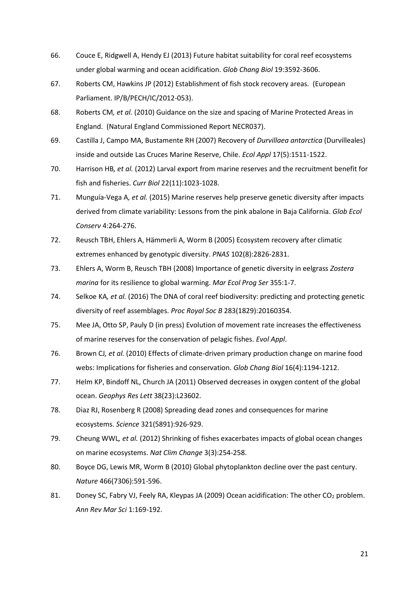- 66. Couce E, Ridgwell A, Hendy EJ (2013) Future habitat suitability for coral reef ecosystems under global warming and ocean acidification. *Glob Chang Biol* 19:3592-3606.
- 67. Roberts CM, Hawkins JP (2012) Establishment of fish stock recovery areas. (European Parliament. IP/B/PECH/IC/2012-053).
- 68. Roberts CM*, et al.* (2010) Guidance on the size and spacing of Marine Protected Areas in England. (Natural England Commissioned Report NECR037).
- 69. Castilla J, Campo MA, Bustamente RH (2007) Recovery of *Durvillaea antarctica* (Durvilleales) inside and outside Las Cruces Marine Reserve, Chile. *Ecol Appl* 17(5):1511-1522.
- 70. Harrison HB*, et al.* (2012) Larval export from marine reserves and the recruitment benefit for fish and fisheries. *Curr Biol* 22(11):1023-1028.
- 71. Munguía-Vega A*, et al.* (2015) Marine reserves help preserve genetic diversity after impacts derived from climate variability: Lessons from the pink abalone in Baja California. *Glob Ecol Conserv* 4:264-276.
- 72. Reusch TBH, Ehlers A, Hämmerli A, Worm B (2005) Ecosystem recovery after climatic extremes enhanced by genotypic diversity. *PNAS* 102(8):2826-2831.
- 73. Ehlers A, Worm B, Reusch TBH (2008) Importance of genetic diversity in eelgrass *Zostera marina* for its resilience to global warming. *Mar Ecol Prog Ser* 355:1-7.
- 74. Selkoe KA*, et al.* (2016) The DNA of coral reef biodiversity: predicting and protecting genetic diversity of reef assemblages. *Proc Royal Soc B* 283(1829):20160354.
- 75. Mee JA, Otto SP, Pauly D (in press) Evolution of movement rate increases the effectiveness of marine reserves for the conservation of pelagic fishes. *Evol Appl*.
- 76. Brown CJ*, et al.* (2010) Effects of climate-driven primary production change on marine food webs: Implications for fisheries and conservation. *Glob Chang Biol* 16(4):1194-1212.
- 77. Helm KP, Bindoff NL, Church JA (2011) Observed decreases in oxygen content of the global ocean. *Geophys Res Lett* 38(23):L23602.
- 78. Diaz RJ, Rosenberg R (2008) Spreading dead zones and consequences for marine ecosystems. *Science* 321(5891):926-929.
- 79. Cheung WWL*, et al.* (2012) Shrinking of fishes exacerbates impacts of global ocean changes on marine ecosystems. *Nat Clim Change* 3(3):254-258.
- 80. Boyce DG, Lewis MR, Worm B (2010) Global phytoplankton decline over the past century. *Nature* 466(7306):591-596.
- 81. Doney SC, Fabry VJ, Feely RA, Kleypas JA (2009) Ocean acidification: The other CO<sub>2</sub> problem. *Ann Rev Mar Sci* 1:169-192.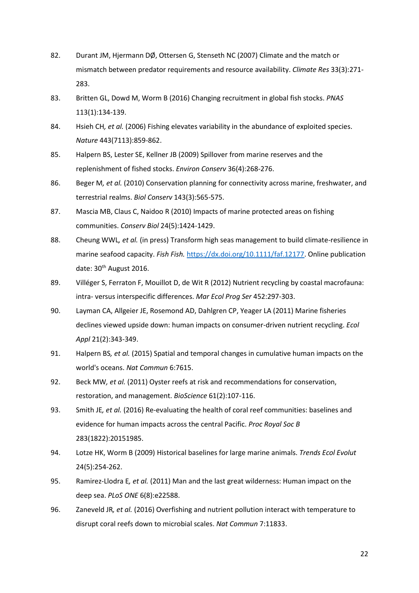- 82. Durant JM, Hjermann DØ, Ottersen G, Stenseth NC (2007) Climate and the match or mismatch between predator requirements and resource availability. *Climate Res* 33(3):271- 283.
- 83. Britten GL, Dowd M, Worm B (2016) Changing recruitment in global fish stocks. *PNAS* 113(1):134-139.
- 84. Hsieh CH*, et al.* (2006) Fishing elevates variability in the abundance of exploited species. *Nature* 443(7113):859-862.
- 85. Halpern BS, Lester SE, Kellner JB (2009) Spillover from marine reserves and the replenishment of fished stocks. *Environ Conserv* 36(4):268-276.
- 86. Beger M*, et al.* (2010) Conservation planning for connectivity across marine, freshwater, and terrestrial realms. *Biol Conserv* 143(3):565-575.
- 87. Mascia MB, Claus C, Naidoo R (2010) Impacts of marine protected areas on fishing communities. *Conserv Biol* 24(5):1424-1429.
- 88. Cheung WWL*, et al.* (in press) Transform high seas management to build climate-resilience in marine seafood capacity. *Fish Fish.* [https://dx.doi.org/10.1111/faf.12177.](https://dx.doi.org/10.1111/faf.12177) Online publication date:  $30<sup>th</sup>$  August 2016.
- 89. Villéger S, Ferraton F, Mouillot D, de Wit R (2012) Nutrient recycling by coastal macrofauna: intra- versus interspecific differences. *Mar Ecol Prog Ser* 452:297-303.
- 90. Layman CA, Allgeier JE, Rosemond AD, Dahlgren CP, Yeager LA (2011) Marine fisheries declines viewed upside down: human impacts on consumer-driven nutrient recycling. *Ecol Appl* 21(2):343-349.
- 91. Halpern BS*, et al.* (2015) Spatial and temporal changes in cumulative human impacts on the world's oceans. *Nat Commun* 6:7615.
- 92. Beck MW*, et al.* (2011) Oyster reefs at risk and recommendations for conservation, restoration, and management. *BioScience* 61(2):107-116.
- 93. Smith JE*, et al.* (2016) Re-evaluating the health of coral reef communities: baselines and evidence for human impacts across the central Pacific. *Proc Royal Soc B* 283(1822):20151985.
- 94. Lotze HK, Worm B (2009) Historical baselines for large marine animals. *Trends Ecol Evolut* 24(5):254-262.
- 95. Ramirez-Llodra E*, et al.* (2011) Man and the last great wilderness: Human impact on the deep sea. *PLoS ONE* 6(8):e22588.
- 96. Zaneveld JR*, et al.* (2016) Overfishing and nutrient pollution interact with temperature to disrupt coral reefs down to microbial scales. *Nat Commun* 7:11833.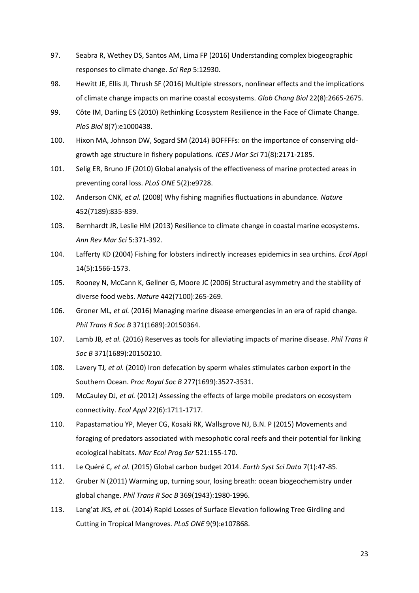- 97. Seabra R, Wethey DS, Santos AM, Lima FP (2016) Understanding complex biogeographic responses to climate change. *Sci Rep* 5:12930.
- 98. Hewitt JE, Ellis JI, Thrush SF (2016) Multiple stressors, nonlinear effects and the implications of climate change impacts on marine coastal ecosystems. *Glob Chang Biol* 22(8):2665-2675.
- 99. Côte IM, Darling ES (2010) Rethinking Ecosystem Resilience in the Face of Climate Change. *PloS Biol* 8(7):e1000438.
- 100. Hixon MA, Johnson DW, Sogard SM (2014) BOFFFFs: on the importance of conserving oldgrowth age structure in fishery populations. *ICES J Mar Sci* 71(8):2171-2185.
- 101. Selig ER, Bruno JF (2010) Global analysis of the effectiveness of marine protected areas in preventing coral loss. *PLoS ONE* 5(2):e9728.
- 102. Anderson CNK*, et al.* (2008) Why fishing magnifies fluctuations in abundance. *Nature* 452(7189):835-839.
- 103. Bernhardt JR, Leslie HM (2013) Resilience to climate change in coastal marine ecosystems. *Ann Rev Mar Sci* 5:371-392.
- 104. Lafferty KD (2004) Fishing for lobsters indirectly increases epidemics in sea urchins. *Ecol Appl* 14(5):1566-1573.
- 105. Rooney N, McCann K, Gellner G, Moore JC (2006) Structural asymmetry and the stability of diverse food webs. *Nature* 442(7100):265-269.
- 106. Groner ML*, et al.* (2016) Managing marine disease emergencies in an era of rapid change. *Phil Trans R Soc B* 371(1689):20150364.
- 107. Lamb JB*, et al.* (2016) Reserves as tools for alleviating impacts of marine disease. *Phil Trans R Soc B* 371(1689):20150210.
- 108. Lavery TJ*, et al.* (2010) Iron defecation by sperm whales stimulates carbon export in the Southern Ocean. *Proc Royal Soc B* 277(1699):3527-3531.
- 109. McCauley DJ*, et al.* (2012) Assessing the effects of large mobile predators on ecosystem connectivity. *Ecol Appl* 22(6):1711-1717.
- 110. Papastamatiou YP, Meyer CG, Kosaki RK, Wallsgrove NJ, B.N. P (2015) Movements and foraging of predators associated with mesophotic coral reefs and their potential for linking ecological habitats. *Mar Ecol Prog Ser* 521:155-170.
- 111. Le Quéré C*, et al.* (2015) Global carbon budget 2014. *Earth Syst Sci Data* 7(1):47-85.
- 112. Gruber N (2011) Warming up, turning sour, losing breath: ocean biogeochemistry under global change. *Phil Trans R Soc B* 369(1943):1980-1996.
- 113. Lang'at JKS*, et al.* (2014) Rapid Losses of Surface Elevation following Tree Girdling and Cutting in Tropical Mangroves. *PLoS ONE* 9(9):e107868.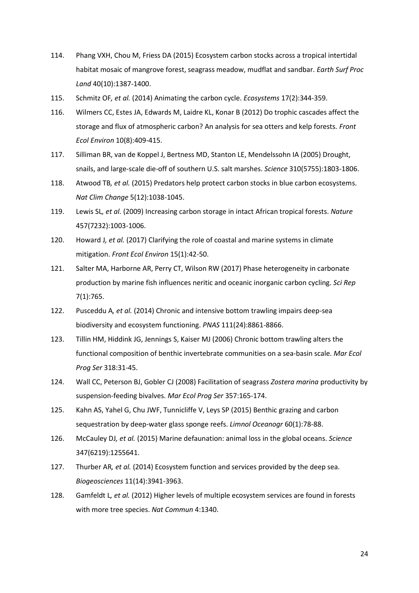- 114. Phang VXH, Chou M, Friess DA (2015) Ecosystem carbon stocks across a tropical intertidal habitat mosaic of mangrove forest, seagrass meadow, mudflat and sandbar. *Earth Surf Proc Land* 40(10):1387-1400.
- 115. Schmitz OF*, et al.* (2014) Animating the carbon cycle. *Ecosystems* 17(2):344-359.
- 116. Wilmers CC, Estes JA, Edwards M, Laidre KL, Konar B (2012) Do trophic cascades affect the storage and flux of atmospheric carbon? An analysis for sea otters and kelp forests. *Front Ecol Environ* 10(8):409-415.
- 117. Silliman BR, van de Koppel J, Bertness MD, Stanton LE, Mendelssohn IA (2005) Drought, snails, and large-scale die-off of southern U.S. salt marshes. *Science* 310(5755):1803-1806.
- 118. Atwood TB*, et al.* (2015) Predators help protect carbon stocks in blue carbon ecosystems. *Nat Clim Change* 5(12):1038-1045.
- 119. Lewis SL*, et al.* (2009) Increasing carbon storage in intact African tropical forests. *Nature* 457(7232):1003-1006.
- 120. Howard J*, et al.* (2017) Clarifying the role of coastal and marine systems in climate mitigation. *Front Ecol Environ* 15(1):42-50.
- 121. Salter MA, Harborne AR, Perry CT, Wilson RW (2017) Phase heterogeneity in carbonate production by marine fish influences neritic and oceanic inorganic carbon cycling. *Sci Rep* 7(1):765.
- 122. Pusceddu A*, et al.* (2014) Chronic and intensive bottom trawling impairs deep-sea biodiversity and ecosystem functioning. *PNAS* 111(24):8861-8866.
- 123. Tillin HM, Hiddink JG, Jennings S, Kaiser MJ (2006) Chronic bottom trawling alters the functional composition of benthic invertebrate communities on a sea-basin scale. *Mar Ecol Prog Ser* 318:31-45.
- 124. Wall CC, Peterson BJ, Gobler CJ (2008) Facilitation of seagrass *Zostera marina* productivity by suspension-feeding bivalves. *Mar Ecol Prog Ser* 357:165-174.
- 125. Kahn AS, Yahel G, Chu JWF, Tunnicliffe V, Leys SP (2015) Benthic grazing and carbon sequestration by deep-water glass sponge reefs. *Limnol Oceanogr* 60(1):78-88.
- 126. McCauley DJ*, et al.* (2015) Marine defaunation: animal loss in the global oceans. *Science* 347(6219):1255641.
- 127. Thurber AR*, et al.* (2014) Ecosystem function and services provided by the deep sea. *Biogeosciences* 11(14):3941-3963.
- 128. Gamfeldt L*, et al.* (2012) Higher levels of multiple ecosystem services are found in forests with more tree species. *Nat Commun* 4:1340.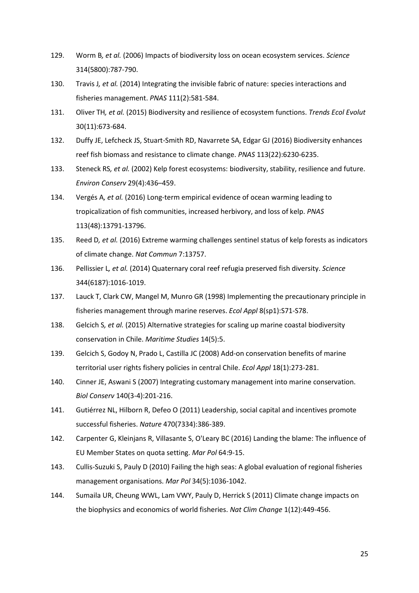- 129. Worm B*, et al.* (2006) Impacts of biodiversity loss on ocean ecosystem services. *Science* 314(5800):787-790.
- 130. Travis J*, et al.* (2014) Integrating the invisible fabric of nature: species interactions and fisheries management. *PNAS* 111(2):581-584.
- 131. Oliver TH*, et al.* (2015) Biodiversity and resilience of ecosystem functions. *Trends Ecol Evolut* 30(11):673-684.
- 132. Duffy JE, Lefcheck JS, Stuart-Smith RD, Navarrete SA, Edgar GJ (2016) Biodiversity enhances reef fish biomass and resistance to climate change. *PNAS* 113(22):6230-6235.
- 133. Steneck RS*, et al.* (2002) Kelp forest ecosystems: biodiversity, stability, resilience and future. *Environ Conserv* 29(4):436–459.
- 134. Vergés A*, et al.* (2016) Long-term empirical evidence of ocean warming leading to tropicalization of fish communities, increased herbivory, and loss of kelp. *PNAS* 113(48):13791-13796.
- 135. Reed D*, et al.* (2016) Extreme warming challenges sentinel status of kelp forests as indicators of climate change. *Nat Commun* 7:13757.
- 136. Pellissier L*, et al.* (2014) Quaternary coral reef refugia preserved fish diversity. *Science* 344(6187):1016-1019.
- 137. Lauck T, Clark CW, Mangel M, Munro GR (1998) Implementing the precautionary principle in fisheries management through marine reserves. *Ecol Appl* 8(sp1):S71-S78.
- 138. Gelcich S*, et al.* (2015) Alternative strategies for scaling up marine coastal biodiversity conservation in Chile. *Maritime Studies* 14(5):5.
- 139. Gelcich S, Godoy N, Prado L, Castilla JC (2008) Add-on conservation benefits of marine territorial user rights fishery policies in central Chile. *Ecol Appl* 18(1):273-281.
- 140. Cinner JE, Aswani S (2007) Integrating customary management into marine conservation. *Biol Conserv* 140(3-4):201-216.
- 141. Gutiérrez NL, Hilborn R, Defeo O (2011) Leadership, social capital and incentives promote successful fisheries. *Nature* 470(7334):386-389.
- 142. Carpenter G, Kleinjans R, Villasante S, O'Leary BC (2016) Landing the blame: The influence of EU Member States on quota setting. *Mar Pol* 64:9-15.
- 143. Cullis-Suzuki S, Pauly D (2010) Failing the high seas: A global evaluation of regional fisheries management organisations. *Mar Pol* 34(5):1036-1042.
- 144. Sumaila UR, Cheung WWL, Lam VWY, Pauly D, Herrick S (2011) Climate change impacts on the biophysics and economics of world fisheries. *Nat Clim Change* 1(12):449-456.